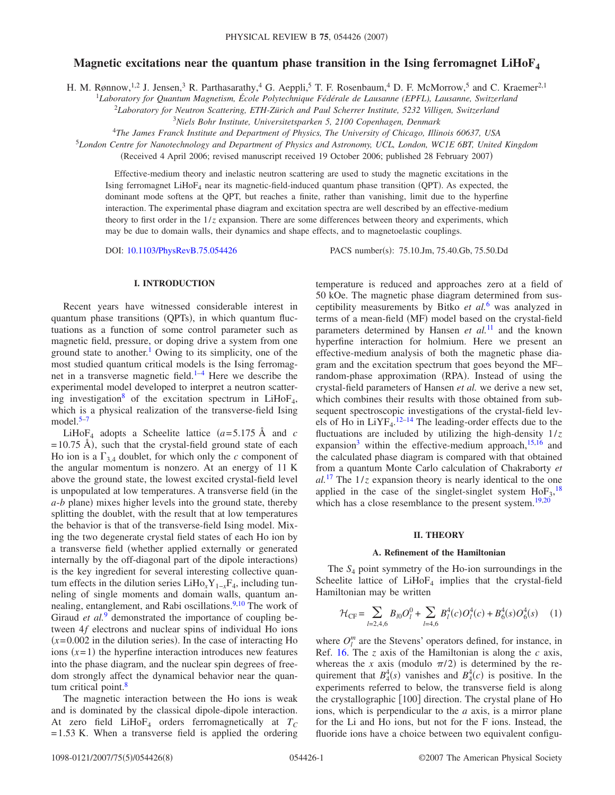# **Magnetic excitations near the quantum phase transition in the Ising ferromagnet LiHoF**<sub>4</sub>

H. M. Rønnow,<sup>1,2</sup> J. Jensen,<sup>3</sup> R. Parthasarathy,<sup>4</sup> G. Aeppli,<sup>5</sup> T. F. Rosenbaum,<sup>4</sup> D. F. McMorrow,<sup>5</sup> and C. Kraemer<sup>2,1</sup>

1 *Laboratory for Quantum Magnetism, École Polytechnique Fédérale de Lausanne (EPFL), Lausanne, Switzerland*

<sup>2</sup>*Laboratory for Neutron Scattering, ETH-Zürich and Paul Scherrer Institute, 5232 Villigen, Switzerland*

3 *Niels Bohr Institute, Universitetsparken 5, 2100 Copenhagen, Denmark*

<sup>4</sup>*The James Franck Institute and Department of Physics, The University of Chicago, Illinois 60637, USA*

<sup>5</sup>*London Centre for Nanotechnology and Department of Physics and Astronomy, UCL, London, WC1E 6BT, United Kingdom*

(Received 4 April 2006; revised manuscript received 19 October 2006; published 28 February 2007)

Effective-medium theory and inelastic neutron scattering are used to study the magnetic excitations in the Ising ferromagnet LiHoF<sub>4</sub> near its magnetic-field-induced quantum phase transition (QPT). As expected, the dominant mode softens at the QPT, but reaches a finite, rather than vanishing, limit due to the hyperfine interaction. The experimental phase diagram and excitation spectra are well described by an effective-medium theory to first order in the  $1/z$  expansion. There are some differences between theory and experiments, which may be due to domain walls, their dynamics and shape effects, and to magnetoelastic couplings.

DOI: [10.1103/PhysRevB.75.054426](http://dx.doi.org/10.1103/PhysRevB.75.054426)

PACS number(s): 75.10.Jm, 75.40.Gb, 75.50.Dd

#### **I. INTRODUCTION**

Recent years have witnessed considerable interest in quantum phase transitions (QPTs), in which quantum fluctuations as a function of some control parameter such as magnetic field, pressure, or doping drive a system from one ground state to another.<sup>1</sup> Owing to its simplicity, one of the most studied quantum critical models is the Ising ferromagnet in a transverse magnetic field[.1–](#page-6-0)[4](#page-6-1) Here we describe the experimental model developed to interpret a neutron scattering investigation<sup>8</sup> of the excitation spectrum in LiHoF<sub>4</sub>, which is a physical realization of the transverse-field Ising model. $5-7$ 

LiHoF<sub>4</sub> adopts a Scheelite lattice  $(a=5.175 \text{ Å}$  and *c*  $=$  10.75 Å), such that the crystal-field ground state of each Ho ion is a  $\Gamma_{3,4}$  doublet, for which only the *c* component of the angular momentum is nonzero. At an energy of 11 K above the ground state, the lowest excited crystal-field level is unpopulated at low temperatures. A transverse field (in the a-*b* plane) mixes higher levels into the ground state, thereby splitting the doublet, with the result that at low temperatures the behavior is that of the transverse-field Ising model. Mixing the two degenerate crystal field states of each Ho ion by a transverse field whether applied externally or generated internally by the off-diagonal part of the dipole interactions) is the key ingredient for several interesting collective quantum effects in the dilution series LiHo<sub>*x*</sub>Y<sub>1−*x*</sub>F<sub>4</sub>, including tunneling of single moments and domain walls, quantum an-nealing, entanglement, and Rabi oscillations.<sup>9[,10](#page-6-6)</sup> The work of Giraud *et al.*<sup>[9](#page-6-5)</sup> demonstrated the importance of coupling between 4*f* electrons and nuclear spins of individual Ho ions  $(x=0.002)$  in the dilution series). In the case of interacting Ho ions  $(x=1)$  the hyperfine interaction introduces new features into the phase diagram, and the nuclear spin degrees of freedom strongly affect the dynamical behavior near the quantum critical point.<sup>8</sup>

The magnetic interaction between the Ho ions is weak and is dominated by the classical dipole-dipole interaction. At zero field  $LiHoF<sub>4</sub>$  orders ferromagnetically at  $T<sub>C</sub>$  $=1.53$  K. When a transverse field is applied the ordering temperature is reduced and approaches zero at a field of 50 kOe. The magnetic phase diagram determined from susceptibility measurements by Bitko *et al.*[6](#page-6-7) was analyzed in terms of a mean-field (MF) model based on the crystal-field parameters determined by Hansen *et al.*[11](#page-6-8) and the known hyperfine interaction for holmium. Here we present an effective-medium analysis of both the magnetic phase diagram and the excitation spectrum that goes beyond the MF– random-phase approximation (RPA). Instead of using the crystal-field parameters of Hansen *et al.* we derive a new set, which combines their results with those obtained from subsequent spectroscopic investigations of the crystal-field levels of Ho in  $LiYF<sub>4</sub>$ .<sup>12-[14](#page-6-10)</sup> The leading-order effects due to the fluctuations are included by utilizing the high-density 1/*z* expansion<sup>3</sup> within the effective-medium approach, $15,16$  $15,16$  and the calculated phase diagram is compared with that obtained from a quantum Monte Carlo calculation of Chakraborty *et*  $al$ <sup>[17](#page-6-14)</sup>. The  $1/z$  expansion theory is nearly identical to the one applied in the case of the singlet-singlet system  $HoF<sub>3</sub>$ ,<sup>[18](#page-6-15)</sup> which has a close resemblance to the present system. $19,20$  $19,20$ 

#### **II. THEORY**

#### **A. Refinement of the Hamiltonian**

The *S*<sup>4</sup> point symmetry of the Ho-ion surroundings in the Scheelite lattice of  $LiHoF<sub>4</sub>$  implies that the crystal-field Hamiltonian may be written

<span id="page-0-0"></span>
$$
\mathcal{H}_{\rm CF} = \sum_{l=2,4,6} B_{l0} O_l^0 + \sum_{l=4,6} B_l^4(c) O_l^4(c) + B_6^4(s) O_6^4(s) \tag{1}
$$

where  $O_l^m$  are the Stevens' operators defined, for instance, in Ref. [16.](#page-6-13) The *z* axis of the Hamiltonian is along the *c* axis, whereas the *x* axis (modulo  $\pi/2$ ) is determined by the requirement that  $B_4^4(s)$  vanishes and  $B_4^4(c)$  is positive. In the experiments referred to below, the transverse field is along the crystallographic  $\lceil 100 \rceil$  direction. The crystal plane of Ho ions, which is perpendicular to the *a* axis, is a mirror plane for the Li and Ho ions, but not for the F ions. Instead, the fluoride ions have a choice between two equivalent configu-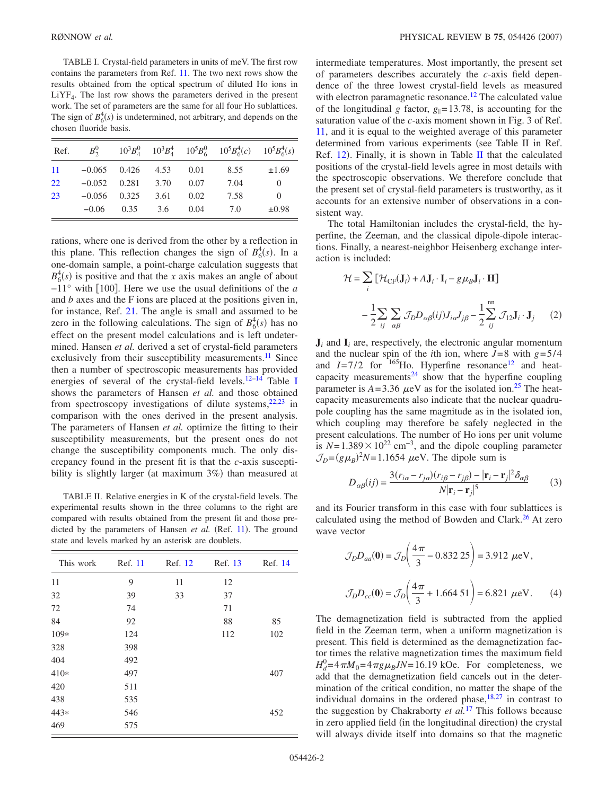<span id="page-1-0"></span>TABLE I. Crystal-field parameters in units of meV. The first row contains the parameters from Ref. [11.](#page-6-8) The two next rows show the results obtained from the optical spectrum of diluted Ho ions in  $LiYF<sub>4</sub>$ . The last row shows the parameters derived in the present work. The set of parameters are the same for all four Ho sublattices. The sign of  $B_6^4(s)$  is undetermined, not arbitrary, and depends on the chosen fluoride basis.

| Ref. | $B_2^0$  |            |      |      | $10^3B_4^0$ $10^3B_4^4$ $10^5B_6^0$ $10^5B_6^4(c)$ $10^5B_6^4(s)$ |            |
|------|----------|------------|------|------|-------------------------------------------------------------------|------------|
| -11  | $-0.065$ | 0.426      | 4.53 | 0.01 | 8.55                                                              | $\pm 1.69$ |
| 22   | $-0.052$ | 0.281 3.70 |      | 0.07 | 7.04                                                              | $\Omega$   |
| 23   | $-0.056$ | 0.325      | 3.61 | 0.02 | 7.58                                                              | $\Omega$   |
|      | $-0.06$  | 0.35       | 3.6  | 0.04 | 7.0                                                               | $\pm 0.98$ |

rations, where one is derived from the other by a reflection in this plane. This reflection changes the sign of  $B_6^4(s)$ . In a one-domain sample, a point-charge calculation suggests that  $B_6^4(s)$  is positive and that the *x* axis makes an angle of about −11° with 100. Here we use the usual definitions of the *a* and *b* axes and the F ions are placed at the positions given in, for instance, Ref. [21.](#page-6-18) The angle is small and assumed to be zero in the following calculations. The sign of  $B_6^4(s)$  has no effect on the present model calculations and is left undetermined. Hansen *et al.* derived a set of crystal-field parameters exclusively from their susceptibility measurements.<sup>11</sup> Since then a number of spectroscopic measurements has provided energies of several of the crystal-field levels.<sup>12–[14](#page-6-10)</sup> Table [I](#page-1-0) shows the parameters of Hansen *et al.* and those obtained from spectroscopy investigations of dilute systems,  $22,23$  $22,23$  in comparison with the ones derived in the present analysis. The parameters of Hansen *et al.* optimize the fitting to their susceptibility measurements, but the present ones do not change the susceptibility components much. The only discrepancy found in the present fit is that the *c*-axis susceptibility is slightly larger (at maximum 3%) than measured at

<span id="page-1-1"></span>TABLE II. Relative energies in K of the crystal-field levels. The experimental results shown in the three columns to the right are compared with results obtained from the present fit and those pre-dicted by the parameters of Hansen et al. (Ref. [11](#page-6-8)). The ground state and levels marked by an asterisk are doublets.

| This work | Ref. 11 | Ref. 12 | Ref. 13 | Ref. 14 |
|-----------|---------|---------|---------|---------|
| 11        | 9       | 11      | 12      |         |
| 32        | 39      | 33      | 37      |         |
| 72        | 74      |         | 71      |         |
| 84        | 92      |         | 88      | 85      |
| $109*$    | 124     |         | 112     | 102     |
| 328       | 398     |         |         |         |
| 404       | 492     |         |         |         |
| $410*$    | 497     |         |         | 407     |
| 420       | 511     |         |         |         |
| 438       | 535     |         |         |         |
| 443*      | 546     |         |         | 452     |
| 469       | 575     |         |         |         |

intermediate temperatures. Most importantly, the present set of parameters describes accurately the *c*-axis field dependence of the three lowest crystal-field levels as measured with electron paramagnetic resonance.<sup>12</sup> The calculated value of the longitudinal *g* factor,  $g_{\parallel} = 13.78$ , is accounting for the saturation value of the *c*-axis moment shown in Fig. 3 of Ref. [11,](#page-6-8) and it is equal to the weighted average of this parameter determined from various experiments (see Table II in Ref. Ref.  $12$ ). Finally, it is shown in Table [II](#page-1-1) that the calculated positions of the crystal-field levels agree in most details with the spectroscopic observations. We therefore conclude that the present set of crystal-field parameters is trustworthy, as it accounts for an extensive number of observations in a consistent way.

The total Hamiltonian includes the crystal-field, the hyperfine, the Zeeman, and the classical dipole-dipole interactions. Finally, a nearest-neighbor Heisenberg exchange interaction is included:

<span id="page-1-2"></span>
$$
\mathcal{H} = \sum_{i} \left[ \mathcal{H}_{CF}(\mathbf{J}_{i}) + A\mathbf{J}_{i} \cdot \mathbf{I}_{i} - g\mu_{B}\mathbf{J}_{i} \cdot \mathbf{H} \right]
$$

$$
- \frac{1}{2} \sum_{ij} \sum_{\alpha\beta} \mathcal{J}_{D} D_{\alpha\beta}(ij) J_{i\alpha} J_{j\beta} - \frac{1}{2} \sum_{ij}^{m} \mathcal{J}_{12}\mathbf{J}_{i} \cdot \mathbf{J}_{j} \qquad (2)
$$

 $J_i$  and  $I_i$  are, respectively, the electronic angular momentum and the nuclear spin of the *i*th ion, where  $J=8$  with  $g=5/4$ and  $I=7/2$  for  $165$ Ho. Hyperfine resonance<sup>12</sup> and heatcapacity measurements<sup>24</sup> show that the hyperfine coupling parameter is  $A = 3.36 \mu\text{eV}$  as for the isolated ion.<sup>25</sup> The heatcapacity measurements also indicate that the nuclear quadrupole coupling has the same magnitude as in the isolated ion, which coupling may therefore be safely neglected in the present calculations. The number of Ho ions per unit volume is  $N=1.389\times10^{22}$  cm<sup>-3</sup>, and the dipole coupling parameter  $\mathcal{J}_D = (g\mu_B)^2 N = 1.1654 \mu\text{eV}$ . The dipole sum is

$$
D_{\alpha\beta}(ij) = \frac{3(r_{i\alpha} - r_{j\alpha})(r_{i\beta} - r_{j\beta}) - |\mathbf{r}_i - \mathbf{r}_j|^2 \delta_{\alpha\beta}}{N |\mathbf{r}_i - \mathbf{r}_j|^5}
$$
(3)

and its Fourier transform in this case with four sublattices is calculated using the method of Bowden and Clark.<sup>26</sup> At zero wave vector

$$
\mathcal{J}_D D_{aa}(\mathbf{0}) = \mathcal{J}_D \left( \frac{4\pi}{3} - 0.832 \, 25 \right) = 3.912 \, \mu\text{eV},
$$

$$
\mathcal{J}_D D_{cc}(\mathbf{0}) = \mathcal{J}_D \left( \frac{4\pi}{3} + 1.664 \, 51 \right) = 6.821 \, \mu\text{eV}. \tag{4}
$$

The demagnetization field is subtracted from the applied field in the Zeeman term, when a uniform magnetization is present. This field is determined as the demagnetization factor times the relative magnetization times the maximum field  $H_d^0 = 4\pi M_0 = 4\pi g \mu_B J N = 16.19$  kOe. For completeness, we add that the demagnetization field cancels out in the determination of the critical condition, no matter the shape of the individual domains in the ordered phase,  $18,27$  $18,27$  in contrast to the suggestion by Chakraborty *et al.*[17](#page-6-14) This follows because in zero applied field (in the longitudinal direction) the crystal will always divide itself into domains so that the magnetic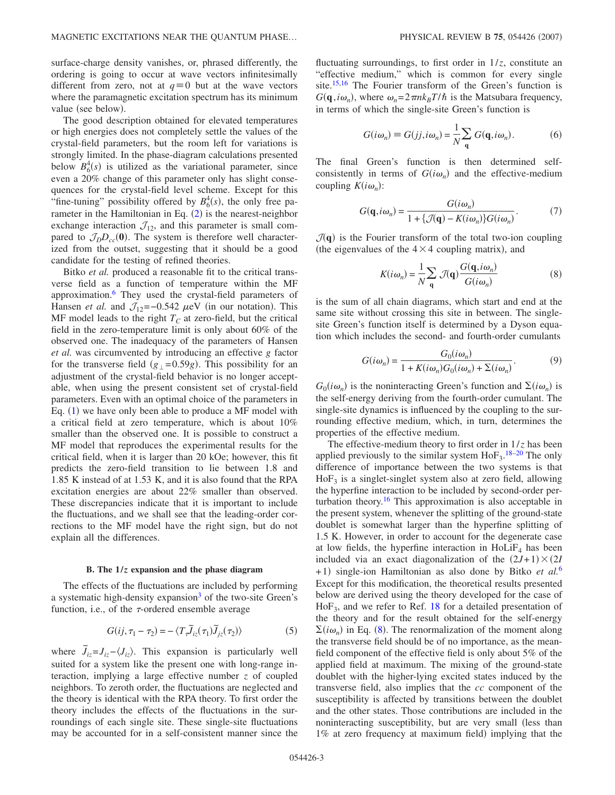surface-charge density vanishes, or, phrased differently, the ordering is going to occur at wave vectors infinitesimally different from zero, not at  $q \equiv 0$  but at the wave vectors where the paramagnetic excitation spectrum has its minimum value (see below).

The good description obtained for elevated temperatures or high energies does not completely settle the values of the crystal-field parameters, but the room left for variations is strongly limited. In the phase-diagram calculations presented below  $B_6^4(s)$  is utilized as the variational parameter, since even a 20% change of this parameter only has slight consequences for the crystal-field level scheme. Except for this "fine-tuning" possibility offered by  $B_6^4(s)$ , the only free parameter in the Hamiltonian in Eq.  $(2)$  $(2)$  $(2)$  is the nearest-neighbor exchange interaction  $\mathcal{J}_{12}$ , and this parameter is small compared to  $\mathcal{J}_D D_{cc}(\mathbf{0})$ . The system is therefore well characterized from the outset, suggesting that it should be a good candidate for the testing of refined theories.

Bitko *et al.* produced a reasonable fit to the critical transverse field as a function of temperature within the MF approximation.<sup>6</sup> They used the crystal-field parameters of Hansen *et al.* and  $\mathcal{J}_{12}$ =-0.542  $\mu$ eV (in our notation). This MF model leads to the right  $T_c$  at zero-field, but the critical field in the zero-temperature limit is only about 60% of the observed one. The inadequacy of the parameters of Hansen *et al.* was circumvented by introducing an effective *g* factor for the transverse field  $(g_{\perp} = 0.59g)$ . This possibility for an adjustment of the crystal-field behavior is no longer acceptable, when using the present consistent set of crystal-field parameters. Even with an optimal choice of the parameters in Eq. ([1](#page-0-0)) we have only been able to produce a MF model with a critical field at zero temperature, which is about 10% smaller than the observed one. It is possible to construct a MF model that reproduces the experimental results for the critical field, when it is larger than 20 kOe; however, this fit predicts the zero-field transition to lie between 1.8 and 1.85 K instead of at 1.53 K, and it is also found that the RPA excitation energies are about 22% smaller than observed. These discrepancies indicate that it is important to include the fluctuations, and we shall see that the leading-order corrections to the MF model have the right sign, but do not explain all the differences.

#### **B. The 1/***z* **expansion and the phase diagram**

The effects of the fluctuations are included by performing a systematic high-density expansion<sup>3</sup> of the two-site Green's function, i.e., of the  $\tau$ -ordered ensemble average

$$
G(ij, \tau_1 - \tau_2) = -\langle T_x \tilde{J}_{iz}(\tau_1) \tilde{J}_{jz}(\tau_2) \rangle \tag{5}
$$

where  $\tilde{J}_{iz} = J_{iz} - \langle J_{iz} \rangle$ . This expansion is particularly well suited for a system like the present one with long-range interaction, implying a large effective number *z* of coupled neighbors. To zeroth order, the fluctuations are neglected and the theory is identical with the RPA theory. To first order the theory includes the effects of the fluctuations in the surroundings of each single site. These single-site fluctuations may be accounted for in a self-consistent manner since the fluctuating surroundings, to first order in  $1/z$ , constitute an "effective medium," which is common for every single site.<sup>15,[16](#page-6-13)</sup> The Fourier transform of the Green's function is  $G(\mathbf{q}, i\omega_n)$ , where  $\omega_n = 2\pi n k_B T/\hbar$  is the Matsubara frequency, in terms of which the single-site Green's function is

$$
G(i\omega_n) \equiv G(jj, i\omega_n) = \frac{1}{N} \sum_{\mathbf{q}} G(\mathbf{q}, i\omega_n).
$$
 (6)

The final Green's function is then determined selfconsistently in terms of  $G(i\omega_n)$  and the effective-medium coupling  $K(i\omega_n)$ :

$$
G(\mathbf{q}, i\omega_n) = \frac{G(i\omega_n)}{1 + \{\mathcal{J}(\mathbf{q}) - K(i\omega_n)\} G(i\omega_n)}.
$$
 (7)

<span id="page-2-0"></span> $\mathcal{J}(\mathbf{q})$  is the Fourier transform of the total two-ion coupling (the eigenvalues of the  $4 \times 4$  coupling matrix), and

$$
K(i\omega_n) = \frac{1}{N} \sum_{\mathbf{q}} \mathcal{J}(\mathbf{q}) \frac{G(\mathbf{q}, i\omega_n)}{G(i\omega_n)}
$$
(8)

is the sum of all chain diagrams, which start and end at the same site without crossing this site in between. The singlesite Green's function itself is determined by a Dyson equation which includes the second- and fourth-order cumulants

$$
G(i\omega_n) = \frac{G_0(i\omega_n)}{1 + K(i\omega_n)G_0(i\omega_n) + \Sigma(i\omega_n)}.
$$
(9)

 $G_0(i\omega_n)$  is the noninteracting Green's function and  $\Sigma(i\omega_n)$  is the self-energy deriving from the fourth-order cumulant. The single-site dynamics is influenced by the coupling to the surrounding effective medium, which, in turn, determines the properties of the effective medium.

The effective-medium theory to first order in 1/*z* has been applied previously to the similar system  $H\circ F_3$ .<sup>[18](#page-6-15)[–20](#page-6-17)</sup> The only difference of importance between the two systems is that  $HoF<sub>3</sub>$  is a singlet-singlet system also at zero field, allowing the hyperfine interaction to be included by second-order perturbation theory.<sup>16</sup> This approximation is also acceptable in the present system, whenever the splitting of the ground-state doublet is somewhat larger than the hyperfine splitting of 1.5 K. However, in order to account for the degenerate case at low fields, the hyperfine interaction in  $HolF<sub>4</sub>$  has been included via an exact diagonalization of the  $(2J+1) \times (2I)$ +1) single-ion Hamiltonian as also done by Bitko et al.<sup>[6](#page-6-7)</sup> Except for this modification, the theoretical results presented below are derived using the theory developed for the case of  $HoF<sub>3</sub>$ , and we refer to Ref. [18](#page-6-15) for a detailed presentation of the theory and for the result obtained for the self-energy  $\Sigma(i\omega_n)$  in Eq. ([8](#page-2-0)). The renormalization of the moment along the transverse field should be of no importance, as the meanfield component of the effective field is only about 5% of the applied field at maximum. The mixing of the ground-state doublet with the higher-lying excited states induced by the transverse field, also implies that the *cc* component of the susceptibility is affected by transitions between the doublet and the other states. Those contributions are included in the noninteracting susceptibility, but are very small (less than 1% at zero frequency at maximum field) implying that the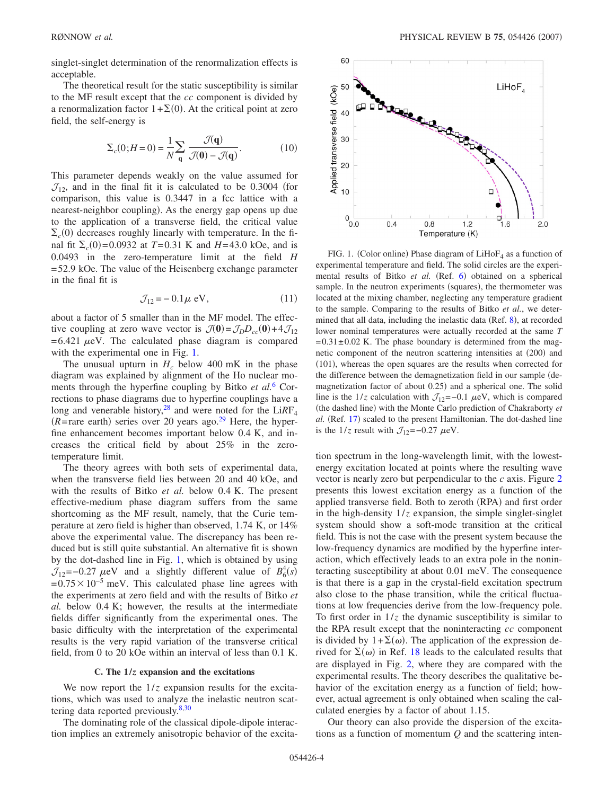singlet-singlet determination of the renormalization effects is acceptable.

The theoretical result for the static susceptibility is similar to the MF result except that the *cc* component is divided by a renormalization factor  $1+\Sigma(0)$ . At the critical point at zero field, the self-energy is

$$
\Sigma_c(0;H=0) = \frac{1}{N} \sum_{\mathbf{q}} \frac{\mathcal{J}(\mathbf{q})}{\mathcal{J}(\mathbf{0}) - \mathcal{J}(\mathbf{q})}.
$$
 (10)

This parameter depends weakly on the value assumed for  $\mathcal{J}_{12}$ , and in the final fit it is calculated to be 0.3004 (for comparison, this value is 0.3447 in a fcc lattice with a nearest-neighbor coupling). As the energy gap opens up due to the application of a transverse field, the critical value  $\Sigma_c(0)$  decreases roughly linearly with temperature. In the final fit  $\Sigma_c(0) = 0.0932$  at  $T = 0.31$  K and  $H = 43.0$  kOe, and is 0.0493 in the zero-temperature limit at the field *H* =52.9 kOe. The value of the Heisenberg exchange parameter in the final fit is

$$
\mathcal{J}_{12} = -0.1\,\mu\,\text{eV},\qquad(11)
$$

about a factor of 5 smaller than in the MF model. The effective coupling at zero wave vector is  $\mathcal{J}(\mathbf{0}) = \mathcal{J}_D D_{cc}(\mathbf{0}) + 4 \mathcal{J}_{12}$  $=6.421 \mu$ eV. The calculated phase diagram is compared with the experimental one in Fig. [1.](#page-3-0)

The unusual upturn in  $H_c$  below 400 mK in the phase diagram was explained by alignment of the Ho nuclear moments through the hyperfine coupling by Bitko *et al.*[6](#page-6-7) Corrections to phase diagrams due to hyperfine couplings have a long and venerable history,<sup>28</sup> and were noted for the LiRF<sub>4</sub>  $(R = \text{rare earth})$  series over 20 years ago.<sup>29</sup> Here, the hyperfine enhancement becomes important below 0.4 K, and increases the critical field by about 25% in the zerotemperature limit.

The theory agrees with both sets of experimental data, when the transverse field lies between 20 and 40 kOe, and with the results of Bitko *et al.* below 0.4 K. The present effective-medium phase diagram suffers from the same shortcoming as the MF result, namely, that the Curie temperature at zero field is higher than observed, 1.74 K, or 14% above the experimental value. The discrepancy has been reduced but is still quite substantial. An alternative fit is shown by the dot-dashed line in Fig. [1,](#page-3-0) which is obtained by using  $\mathcal{J}_{12}$ =-0.27  $\mu$ eV and a slightly different value of  $B_6^4(s)$  $=0.75\times10^{-5}$  meV. This calculated phase line agrees with the experiments at zero field and with the results of Bitko *et al.* below 0.4 K; however, the results at the intermediate fields differ significantly from the experimental ones. The basic difficulty with the interpretation of the experimental results is the very rapid variation of the transverse critical field, from 0 to 20 kOe within an interval of less than 0.1 K.

### **C. The 1/***z* **expansion and the excitations**

We now report the  $1/z$  expansion results for the excitations, which was used to analyze the inelastic neutron scat-tering data reported previously.<sup>8[,30](#page-6-28)</sup>

The dominating role of the classical dipole-dipole interaction implies an extremely anisotropic behavior of the excita-

<span id="page-3-0"></span>

FIG. 1. (Color online) Phase diagram of  $LiHoF_4$  as a function of experimental temperature and field. The solid circles are the experi-mental results of Bitko et al. (Ref. [6](#page-6-7)) obtained on a spherical sample. In the neutron experiments (squares), the thermometer was located at the mixing chamber, neglecting any temperature gradient to the sample. Comparing to the results of Bitko *et al.*, we deter-mined that all data, including the inelastic data (Ref. [8](#page-6-2)), at recorded lower nominal temperatures were actually recorded at the same *T*  $=0.31\pm0.02$  K. The phase boundary is determined from the magnetic component of the neutron scattering intensities at (200) and (101), whereas the open squares are the results when corrected for the difference between the demagnetization field in our sample demagnetization factor of about 0.25) and a spherical one. The solid line is the  $1/z$  calculation with  $\mathcal{J}_{12}$ =−0.1  $\mu$ eV, which is compared (the dashed line) with the Monte Carlo prediction of Chakraborty et al. (Ref. [17](#page-6-14)) scaled to the present Hamiltonian. The dot-dashed line is the  $1/z$  result with  $\mathcal{J}_{12}$ =-0.27  $\mu$ eV.

tion spectrum in the long-wavelength limit, with the lowestenergy excitation located at points where the resulting wave vector is nearly zero but perpendicular to the *c* axis. Figure [2](#page-4-0) presents this lowest excitation energy as a function of the applied transverse field. Both to zeroth (RPA) and first order in the high-density  $1/z$  expansion, the simple singlet-singlet system should show a soft-mode transition at the critical field. This is not the case with the present system because the low-frequency dynamics are modified by the hyperfine interaction, which effectively leads to an extra pole in the noninteracting susceptibility at about 0.01 meV. The consequence is that there is a gap in the crystal-field excitation spectrum also close to the phase transition, while the critical fluctuations at low frequencies derive from the low-frequency pole. To first order in  $1/z$  the dynamic susceptibility is similar to the RPA result except that the noninteracting *cc* component is divided by  $1+\Sigma(\omega)$ . The application of the expression derived for  $\Sigma(\omega)$  in Ref. [18](#page-6-15) leads to the calculated results that are displayed in Fig. [2,](#page-4-0) where they are compared with the experimental results. The theory describes the qualitative behavior of the excitation energy as a function of field; however, actual agreement is only obtained when scaling the calculated energies by a factor of about 1.15.

Our theory can also provide the dispersion of the excitations as a function of momentum *Q* and the scattering inten-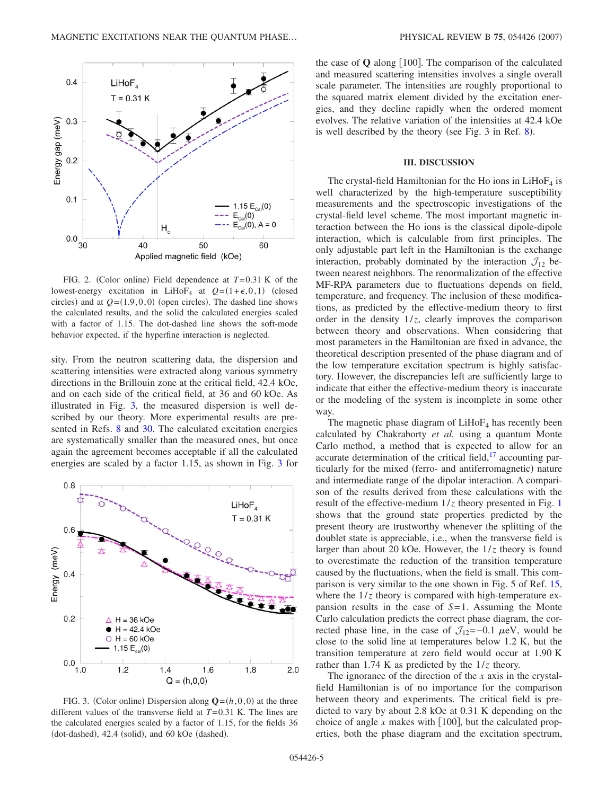<span id="page-4-0"></span>

FIG. 2. (Color online) Field dependence at  $T=0.31$  K of the lowest-energy excitation in LiHoF<sub>4</sub> at  $Q = (1 + \epsilon, 0, 1)$  (closed circles) and at  $Q = (1.9, 0, 0)$  (open circles). The dashed line shows the calculated results, and the solid the calculated energies scaled with a factor of 1.15. The dot-dashed line shows the soft-mode behavior expected, if the hyperfine interaction is neglected.

sity. From the neutron scattering data, the dispersion and scattering intensities were extracted along various symmetry directions in the Brillouin zone at the critical field, 42.4 kOe, and on each side of the critical field, at 36 and 60 kOe. As illustrated in Fig. [3,](#page-4-1) the measured dispersion is well described by our theory. More experimental results are presented in Refs. [8](#page-6-2) and [30.](#page-6-28) The calculated excitation energies are systematically smaller than the measured ones, but once again the agreement becomes acceptable if all the calculated energies are scaled by a factor 1.15, as shown in Fig. [3](#page-4-1) for

<span id="page-4-1"></span>

FIG. 3. (Color online) Dispersion along  $\mathbf{Q}=(h,0,0)$  at the three different values of the transverse field at *T*=0.31 K. The lines are the calculated energies scaled by a factor of 1.15, for the fields 36 (dot-dashed), 42.4 (solid), and 60 kOe (dashed).

the case of  $\bf{Q}$  along | 100 |. The comparison of the calculated and measured scattering intensities involves a single overall scale parameter. The intensities are roughly proportional to the squared matrix element divided by the excitation energies, and they decline rapidly when the ordered moment evolves. The relative variation of the intensities at 42.4 kOe is well described by the theory (see Fig.  $3$  in Ref. [8](#page-6-2)).

### **III. DISCUSSION**

The crystal-field Hamiltonian for the Ho ions in  $LiHoF<sub>4</sub>$  is well characterized by the high-temperature susceptibility measurements and the spectroscopic investigations of the crystal-field level scheme. The most important magnetic interaction between the Ho ions is the classical dipole-dipole interaction, which is calculable from first principles. The only adjustable part left in the Hamiltonian is the exchange interaction, probably dominated by the interaction  $\mathcal{J}_{12}$  between nearest neighbors. The renormalization of the effective MF-RPA parameters due to fluctuations depends on field, temperature, and frequency. The inclusion of these modifications, as predicted by the effective-medium theory to first order in the density  $1/z$ , clearly improves the comparison between theory and observations. When considering that most parameters in the Hamiltonian are fixed in advance, the theoretical description presented of the phase diagram and of the low temperature excitation spectrum is highly satisfactory. However, the discrepancies left are sufficiently large to indicate that either the effective-medium theory is inaccurate or the modeling of the system is incomplete in some other way.

The magnetic phase diagram of  $LiHoF<sub>4</sub>$  has recently been calculated by Chakraborty *et al.* using a quantum Monte Carlo method, a method that is expected to allow for an accurate determination of the critical field, $17$  accounting particularly for the mixed (ferro- and antiferromagnetic) nature and intermediate range of the dipolar interaction. A comparison of the results derived from these calculations with the result of the effective-medium  $1/z$  $1/z$  theory presented in Fig. 1 shows that the ground state properties predicted by the present theory are trustworthy whenever the splitting of the doublet state is appreciable, i.e., when the transverse field is larger than about 20 kOe. However, the 1/*z* theory is found to overestimate the reduction of the transition temperature caused by the fluctuations, when the field is small. This comparison is very similar to the one shown in Fig. 5 of Ref. [15,](#page-6-12) where the  $1/z$  theory is compared with high-temperature expansion results in the case of *S*=1. Assuming the Monte Carlo calculation predicts the correct phase diagram, the corrected phase line, in the case of  $\mathcal{J}_{12}$ =−0.1  $\mu$ eV, would be close to the solid line at temperatures below 1.2 K, but the transition temperature at zero field would occur at 1.90 K rather than 1.74 K as predicted by the 1/*z* theory.

The ignorance of the direction of the *x* axis in the crystalfield Hamiltonian is of no importance for the comparison between theory and experiments. The critical field is predicted to vary by about 2.8 kOe at 0.31 K depending on the choice of angle  $x$  makes with  $[100]$ , but the calculated properties, both the phase diagram and the excitation spectrum,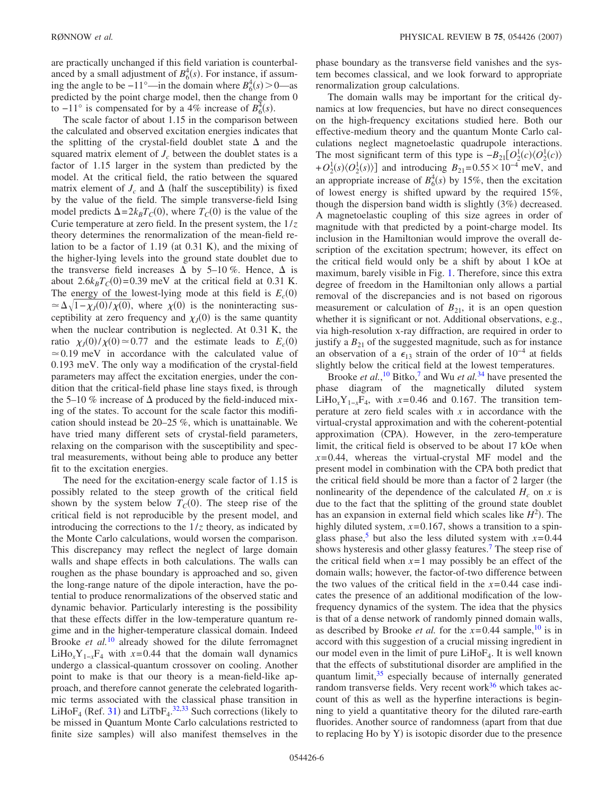are practically unchanged if this field variation is counterbalanced by a small adjustment of  $B_6^4(s)$ . For instance, if assuming the angle to be  $-11^\circ$ —in the domain where  $B_6^4(s) > 0$ —as predicted by the point charge model, then the change from 0 to  $-11^\circ$  is compensated for by a 4% increase of  $B_6^{\frac{1}{2}}(s)$ .

The scale factor of about 1.15 in the comparison between the calculated and observed excitation energies indicates that the splitting of the crystal-field doublet state  $\Delta$  and the squared matrix element of  $J_c$  between the doublet states is a factor of 1.15 larger in the system than predicted by the model. At the critical field, the ratio between the squared matrix element of  $J_c$  and  $\Delta$  (half the susceptibility) is fixed by the value of the field. The simple transverse-field Ising model predicts  $\Delta = 2k_B T_C(0)$ , where  $T_C(0)$  is the value of the Curie temperature at zero field. In the present system, the 1/*z* theory determines the renormalization of the mean-field relation to be a factor of  $1.19$  (at  $0.31$  K), and the mixing of the higher-lying levels into the ground state doublet due to the transverse field increases  $\Delta$  by 5–10 %. Hence,  $\Delta$  is about  $2.6k_BT_c(0)=0.39$  meV at the critical field at 0.31 K. The energy of the lowest-lying mode at this field is  $E_c(0)$  $\approx \Delta \sqrt{1-\chi_0(0)/\chi(0)}$ , where  $\chi(0)$  is the noninteracting susceptibility at zero frequency and  $\chi_l(0)$  is the same quantity when the nuclear contribution is neglected. At 0.31 K, the ratio  $\chi_J(0)/\chi(0) \approx 0.77$  and the estimate leads to  $E_c(0)$  $\approx 0.19$  meV in accordance with the calculated value of 0.193 meV. The only way a modification of the crystal-field parameters may affect the excitation energies, under the condition that the critical-field phase line stays fixed, is through the 5–10 % increase of  $\Delta$  produced by the field-induced mixing of the states. To account for the scale factor this modification should instead be 20–25 %, which is unattainable. We have tried many different sets of crystal-field parameters, relaxing on the comparison with the susceptibility and spectral measurements, without being able to produce any better fit to the excitation energies.

The need for the excitation-energy scale factor of 1.15 is possibly related to the steep growth of the critical field shown by the system below  $T_c(0)$ . The steep rise of the critical field is not reproducible by the present model, and introducing the corrections to the  $1/z$  theory, as indicated by the Monte Carlo calculations, would worsen the comparison. This discrepancy may reflect the neglect of large domain walls and shape effects in both calculations. The walls can roughen as the phase boundary is approached and so, given the long-range nature of the dipole interaction, have the potential to produce renormalizations of the observed static and dynamic behavior. Particularly interesting is the possibility that these effects differ in the low-temperature quantum regime and in the higher-temperature classical domain. Indeed Brooke *et al.*[10](#page-6-6) already showed for the dilute ferromagnet LiHo<sub>x</sub>Y<sub>1−*x*</sub>F<sub>4</sub> with *x*=0.44 that the domain wall dynamics undergo a classical-quantum crossover on cooling. Another point to make is that our theory is a mean-field-like approach, and therefore cannot generate the celebrated logarithmic terms associated with the classical phase transition in LiHo $F_4$  (Ref. [31](#page-6-29)) and LiTb $F_4$ .<sup>[32,](#page-6-30)[33](#page-7-0)</sup> Such corrections (likely to be missed in Quantum Monte Carlo calculations restricted to finite size samples) will also manifest themselves in the

phase boundary as the transverse field vanishes and the system becomes classical, and we look forward to appropriate renormalization group calculations.

The domain walls may be important for the critical dynamics at low frequencies, but have no direct consequences on the high-frequency excitations studied here. Both our effective-medium theory and the quantum Monte Carlo calculations neglect magnetoelastic quadrupole interactions. The most significant term of this type is  $-B_{21}[O_2^1(c)\langle O_2^1(c)\rangle$  $+ O_2^1(s) \langle O_2^1(s) \rangle$  and introducing  $B_{21} = 0.55 \times 10^{-4}$  meV, and an appropriate increase of  $B_6^4(s)$  by 15%, then the excitation of lowest energy is shifted upward by the required 15%, though the dispersion band width is slightly  $(3%)$  decreased. A magnetoelastic coupling of this size agrees in order of magnitude with that predicted by a point-charge model. Its inclusion in the Hamiltonian would improve the overall description of the excitation spectrum; however, its effect on the critical field would only be a shift by about 1 kOe at maximum, barely visible in Fig. [1.](#page-3-0) Therefore, since this extra degree of freedom in the Hamiltonian only allows a partial removal of the discrepancies and is not based on rigorous measurement or calculation of  $B_{21}$ , it is an open question whether it is significant or not. Additional observations, e.g., via high-resolution x-ray diffraction, are required in order to justify a  $B_{21}$  of the suggested magnitude, such as for instance an observation of a  $\epsilon_{13}$  strain of the order of 10<sup>-4</sup> at fields slightly below the critical field at the lowest temperatures.

Brooke *et al.*,<sup>[10](#page-6-6)</sup> Bitko,<sup>7</sup> and Wu *et al.*<sup>[34](#page-7-1)</sup> have presented the phase diagram of the magnetically diluted system LiHo<sub>x</sub>Y<sub>1−*x*</sub>F<sub>4</sub>, with *x*=0.46 and 0.167. The transition temperature at zero field scales with *x* in accordance with the virtual-crystal approximation and with the coherent-potential approximation (CPA). However, in the zero-temperature limit, the critical field is observed to be about 17 kOe when  $x=0.44$ , whereas the virtual-crystal MF model and the present model in combination with the CPA both predict that the critical field should be more than a factor of 2 larger (the nonlinearity of the dependence of the calculated  $H_c$  on x is due to the fact that the splitting of the ground state doublet has an expansion in external field which scales like  $H^2$ ). The highly diluted system,  $x=0.167$ , shows a transition to a spinglass phase,<sup>5</sup> but also the less diluted system with  $x=0.44$ shows hysteresis and other glassy features.<sup>7</sup> The steep rise of the critical field when  $x=1$  may possibly be an effect of the domain walls; however, the factor-of-two difference between the two values of the critical field in the *x*=0.44 case indicates the presence of an additional modification of the lowfrequency dynamics of the system. The idea that the physics is that of a dense network of randomly pinned domain walls, as described by Brooke *et al.* for the  $x=0.44$  sample, <sup>10</sup> is in accord with this suggestion of a crucial missing ingredient in our model even in the limit of pure  $LiHoF<sub>4</sub>$ . It is well known that the effects of substitutional disorder are amplified in the quantum limit,<sup>35</sup> especially because of internally generated random transverse fields. Very recent work $36$  which takes account of this as well as the hyperfine interactions is beginning to yield a quantitative theory for the diluted rare-earth fluorides. Another source of randomness (apart from that due to replacing Ho by Y) is isotopic disorder due to the presence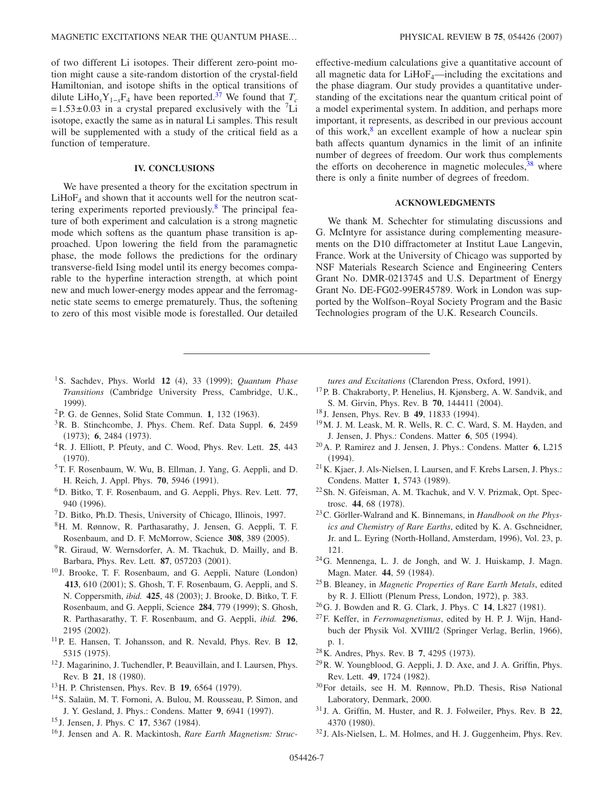of two different Li isotopes. Their different zero-point motion might cause a site-random distortion of the crystal-field Hamiltonian, and isotope shifts in the optical transitions of dilute LiHo<sub>x</sub>Y<sub>1−*x*</sub>F<sub>4</sub> have been reported.<sup>37</sup> We found that  $T_c$  $=1.53\pm0.03$  in a crystal prepared exclusively with the <sup>7</sup>Li isotope, exactly the same as in natural Li samples. This result will be supplemented with a study of the critical field as a function of temperature.

## **IV. CONCLUSIONS**

We have presented a theory for the excitation spectrum in  $LiHoF<sub>4</sub>$  and shown that it accounts well for the neutron scattering experiments reported previously[.8](#page-6-2) The principal feature of both experiment and calculation is a strong magnetic mode which softens as the quantum phase transition is approached. Upon lowering the field from the paramagnetic phase, the mode follows the predictions for the ordinary transverse-field Ising model until its energy becomes comparable to the hyperfine interaction strength, at which point new and much lower-energy modes appear and the ferromagnetic state seems to emerge prematurely. Thus, the softening to zero of this most visible mode is forestalled. Our detailed effective-medium calculations give a quantitative account of all magnetic data for  $LiHoF_4$ —including the excitations and the phase diagram. Our study provides a quantitative understanding of the excitations near the quantum critical point of a model experimental system. In addition, and perhaps more important, it represents, as described in our previous account of this work, $8$  an excellent example of how a nuclear spin bath affects quantum dynamics in the limit of an infinite number of degrees of freedom. Our work thus complements the efforts on decoherence in magnetic molecules,  $38$  where there is only a finite number of degrees of freedom.

# **ACKNOWLEDGMENTS**

We thank M. Schechter for stimulating discussions and G. McIntyre for assistance during complementing measurements on the D10 diffractometer at Institut Laue Langevin, France. Work at the University of Chicago was supported by NSF Materials Research Science and Engineering Centers Grant No. DMR-0213745 and U.S. Department of Energy Grant No. DE-FG02-99ER45789. Work in London was supported by the Wolfson–Royal Society Program and the Basic Technologies program of the U.K. Research Councils.

- <span id="page-6-0"></span><sup>1</sup> S. Sachdev, Phys. World **12** (4), 33 (1999); *Quantum Phase Transitions* Cambridge University Press, Cambridge, U.K., 1999).
- <sup>2</sup>P. G. de Gennes, Solid State Commun. 1, 132 (1963).
- <span id="page-6-11"></span>3R. B. Stinchcombe, J. Phys. Chem. Ref. Data Suppl. **6**, 2459 (1973); 6, 2484 (1973).
- <span id="page-6-1"></span>4R. J. Elliott, P. Pfeuty, and C. Wood, Phys. Rev. Lett. **25**, 443  $(1970).$
- <span id="page-6-3"></span>5T. F. Rosenbaum, W. Wu, B. Ellman, J. Yang, G. Aeppli, and D. H. Reich, J. Appl. Phys. **70**, 5946 (1991).
- <span id="page-6-7"></span>6D. Bitko, T. F. Rosenbaum, and G. Aeppli, Phys. Rev. Lett. **77**, 940 (1996).
- <span id="page-6-4"></span>7D. Bitko, Ph.D. Thesis, University of Chicago, Illinois, 1997.
- <span id="page-6-2"></span>8H. M. Rønnow, R. Parthasarathy, J. Jensen, G. Aeppli, T. F. Rosenbaum, and D. F. McMorrow, Science 308, 389 (2005).
- <span id="page-6-5"></span><sup>9</sup>R. Giraud, W. Wernsdorfer, A. M. Tkachuk, D. Mailly, and B. Barbara, Phys. Rev. Lett. 87, 057203 (2001).
- <span id="page-6-6"></span><sup>10</sup> J. Brooke, T. F. Rosenbaum, and G. Aeppli, Nature (London) 413, 610 (2001); S. Ghosh, T. F. Rosenbaum, G. Aeppli, and S. N. Coppersmith, *ibid.* 425, 48 (2003); J. Brooke, D. Bitko, T. F. Rosenbaum, and G. Aeppli, Science 284, 779 (1999); S. Ghosh, R. Parthasarathy, T. F. Rosenbaum, and G. Aeppli, *ibid.* **296**, 2195 (2002).
- <span id="page-6-8"></span>11P. E. Hansen, T. Johansson, and R. Nevald, Phys. Rev. B **12**, 5315 (1975).
- <span id="page-6-9"></span><sup>12</sup> J. Magarinino, J. Tuchendler, P. Beauvillain, and I. Laursen, Phys. Rev. B 21, 18 (1980).
- <span id="page-6-25"></span><sup>13</sup> H. P. Christensen, Phys. Rev. B **19**, 6564 (1979).
- <span id="page-6-10"></span>14S. Salaün, M. T. Fornoni, A. Bulou, M. Rousseau, P. Simon, and J. Y. Gesland, J. Phys.: Condens. Matter 9, 6941 (1997).
- <span id="page-6-12"></span><sup>15</sup> J. Jensen, J. Phys. C **17**, 5367 (1984).
- <span id="page-6-13"></span><sup>16</sup> J. Jensen and A. R. Mackintosh, *Rare Earth Magnetism: Struc-*

tures and Excitations (Clarendon Press, Oxford, 1991).

- <span id="page-6-14"></span><sup>17</sup>P. B. Chakraborty, P. Henelius, H. Kjønsberg, A. W. Sandvik, and S. M. Girvin, Phys. Rev. B 70, 144411 (2004).
- <span id="page-6-15"></span><sup>18</sup> J. Jensen, Phys. Rev. B **49**, 11833 (1994).
- <span id="page-6-16"></span>19M. J. M. Leask, M. R. Wells, R. C. C. Ward, S. M. Hayden, and J. Jensen, J. Phys.: Condens. Matter 6, 505 (1994).
- <span id="page-6-17"></span>20A. P. Ramirez and J. Jensen, J. Phys.: Condens. Matter **6**, L215  $(1994).$
- <span id="page-6-18"></span>21K. Kjaer, J. Als-Nielsen, I. Laursen, and F. Krebs Larsen, J. Phys.: Condens. Matter 1, 5743 (1989).
- <span id="page-6-19"></span>22Sh. N. Gifeisman, A. M. Tkachuk, and V. V. Prizmak, Opt. Spectrosc. **44**, 68 (1978).
- <span id="page-6-20"></span>23C. Görller-Walrand and K. Binnemans, in *Handbook on the Physics and Chemistry of Rare Earths*, edited by K. A. Gschneidner, Jr. and L. Eyring (North-Holland, Amsterdam, 1996), Vol. 23, p. 121.
- <span id="page-6-21"></span>24G. Mennenga, L. J. de Jongh, and W. J. Huiskamp, J. Magn. Magn. Mater. 44, 59 (1984).
- <span id="page-6-22"></span>25B. Bleaney, in *Magnetic Properties of Rare Earth Metals*, edited by R. J. Elliott (Plenum Press, London, 1972), p. 383.
- <span id="page-6-23"></span><sup>26</sup>G. J. Bowden and R. G. Clark, J. Phys. C **14**, L827 (1981).
- <span id="page-6-24"></span>27F. Keffer, in *Ferromagnetismus*, edited by H. P. J. Wijn, Handbuch der Physik Vol. XVIII/2 (Springer Verlag, Berlin, 1966), p. 1.
- <span id="page-6-26"></span><sup>28</sup> K. Andres, Phys. Rev. B 7, 4295 (1973).
- <span id="page-6-27"></span> $^{29}$ R. W. Youngblood, G. Aeppli, J. D. Axe, and J. A. Griffin, Phys. Rev. Lett. **49**, 1724 (1982).
- <span id="page-6-28"></span>30For details, see H. M. Rønnow, Ph.D. Thesis, Risø National Laboratory, Denmark, 2000.
- <span id="page-6-29"></span><sup>31</sup> J. A. Griffin, M. Huster, and R. J. Folweiler, Phys. Rev. B **22**, 4370 (1980).
- <span id="page-6-30"></span><sup>32</sup> J. Als-Nielsen, L. M. Holmes, and H. J. Guggenheim, Phys. Rev.